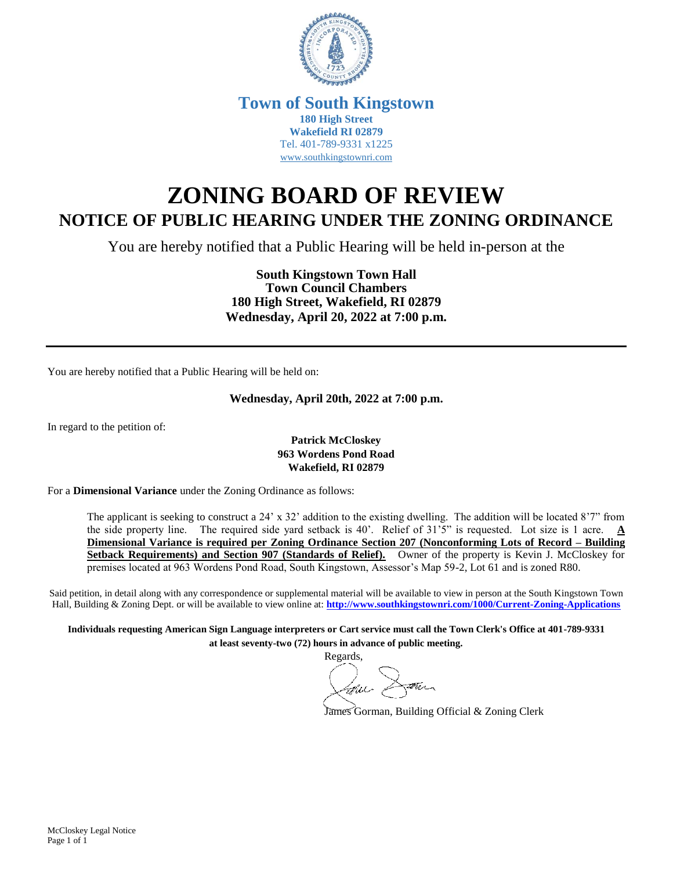

## **Town of South Kingstown 180 High Street Wakefield RI 02879** Tel. 401-789-9331 x1225 [www.southkingstownri.com](http://www.southkingstownri.com/)

# **ZONING BOARD OF REVIEW NOTICE OF PUBLIC HEARING UNDER THE ZONING ORDINANCE**

You are hereby notified that a Public Hearing will be held in-person at the

**South Kingstown Town Hall Town Council Chambers 180 High Street, Wakefield, RI 02879 Wednesday, April 20, 2022 at 7:00 p.m.**

You are hereby notified that a Public Hearing will be held on:

#### **Wednesday, April 20th, 2022 at 7:00 p.m.**

In regard to the petition of:

#### **Patrick McCloskey 963 Wordens Pond Road Wakefield, RI 02879**

For a **Dimensional Variance** under the Zoning Ordinance as follows:

The applicant is seeking to construct a 24' x 32' addition to the existing dwelling. The addition will be located 8'7" from the side property line. The required side yard setback is 40'. Relief of 31'5" is requested. Lot size is 1 acre. **A Dimensional Variance is required per Zoning Ordinance Section 207 (Nonconforming Lots of Record – Building Setback Requirements) and Section 907 (Standards of Relief).** Owner of the property is Kevin J. McCloskey for premises located at 963 Wordens Pond Road, South Kingstown, Assessor's Map 59-2, Lot 61 and is zoned R80.

Said petition, in detail along with any correspondence or supplemental material will be available to view in person at the South Kingstown Town Hall, Building & Zoning Dept. or will be available to view online at: **<http://www.southkingstownri.com/1000/Current-Zoning-Applications>**

**Individuals requesting American Sign Language interpreters or Cart service must call the Town Clerk's Office at 401-789-9331 at least seventy-two (72) hours in advance of public meeting.**

Regards,

Datur

James Gorman, Building Official & Zoning Clerk